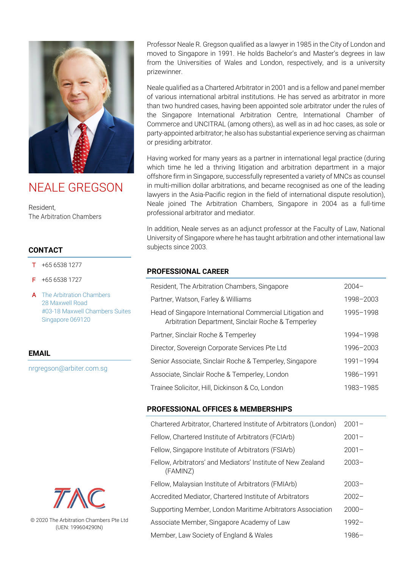

# NEALE GREGSON

Resident, The Arbitration Chambers

## **CONTACT**

- $T + 6565381277$
- F +65 6538 1727
- A The Arbitration Chambers 28 Maxwell Road #03-18 Maxwell Chambers Suites Singapore 069120

## **EMAIL**

nrgregson@arbiter.com.sg



© 2020 The Arbitration Chambers Pte Ltd (UEN: 199604290N)

Professor Neale R. Gregson qualified as a lawyer in 1985 in the City of London and moved to Singapore in 1991. He holds Bachelor's and Master's degrees in law from the Universities of Wales and London, respectively, and is a university prizewinner.

Neale qualified as a Chartered Arbitrator in 2001 and is a fellow and panel member of various international arbitral institutions. He has served as arbitrator in more than two hundred cases, having been appointed sole arbitrator under the rules of the Singapore International Arbitration Centre, International Chamber of Commerce and UNCITRAL (among others), as well as in ad hoc cases, as sole or party-appointed arbitrator; he also has substantial experience serving as chairman or presiding arbitrator.

Having worked for many years as a partner in international legal practice (during which time he led a thriving litigation and arbitration department in a major offshore firm in Singapore, successfully represented a variety of MNCs as counsel in multi-million dollar arbitrations, and became recognised as one of the leading lawyers in the Asia-Pacific region in the field of international dispute resolution), Neale joined The Arbitration Chambers, Singapore in 2004 as a full-time professional arbitrator and mediator.

In addition, Neale serves as an adjunct professor at the Faculty of Law, National University of Singapore where he has taught arbitration and other international law subjects since 2003.

### **PROFESSIONAL CAREER**

| Resident, The Arbitration Chambers, Singapore                                                                   | $2004-$   |
|-----------------------------------------------------------------------------------------------------------------|-----------|
| Partner, Watson, Farley & Williams                                                                              | 1998-2003 |
| Head of Singapore International Commercial Litigation and<br>Arbitration Department, Sinclair Roche & Temperley | 1995-1998 |
| Partner, Sinclair Roche & Temperley                                                                             | 1994-1998 |
| Director, Sovereign Corporate Services Pte Ltd                                                                  | 1996-2003 |
| Senior Associate, Sinclair Roche & Temperley, Singapore                                                         | 1991-1994 |
| Associate, Sinclair Roche & Temperley, London                                                                   | 1986-1991 |
| Trainee Solicitor, Hill, Dickinson & Co, London                                                                 | 1983-1985 |

#### **PROFESSIONAL OFFICES & MEMBERSHIPS**

| Chartered Arbitrator, Chartered Institute of Arbitrators (London)        | $2001 -$ |
|--------------------------------------------------------------------------|----------|
| Fellow, Chartered Institute of Arbitrators (FCIArb)                      | $2001 -$ |
| Fellow, Singapore Institute of Arbitrators (FSIArb)                      | $2001 -$ |
| Fellow, Arbitrators' and Mediators' Institute of New Zealand<br>(FAMINZ) | $2003 -$ |
| Fellow, Malaysian Institute of Arbitrators (FMIArb)                      | $2003 -$ |
| Accredited Mediator, Chartered Institute of Arbitrators                  | $2002 -$ |
| Supporting Member, London Maritime Arbitrators Association               | $2000 -$ |
| Associate Member, Singapore Academy of Law                               | $1992 -$ |
| Member, Law Society of England & Wales                                   | $1986-$  |